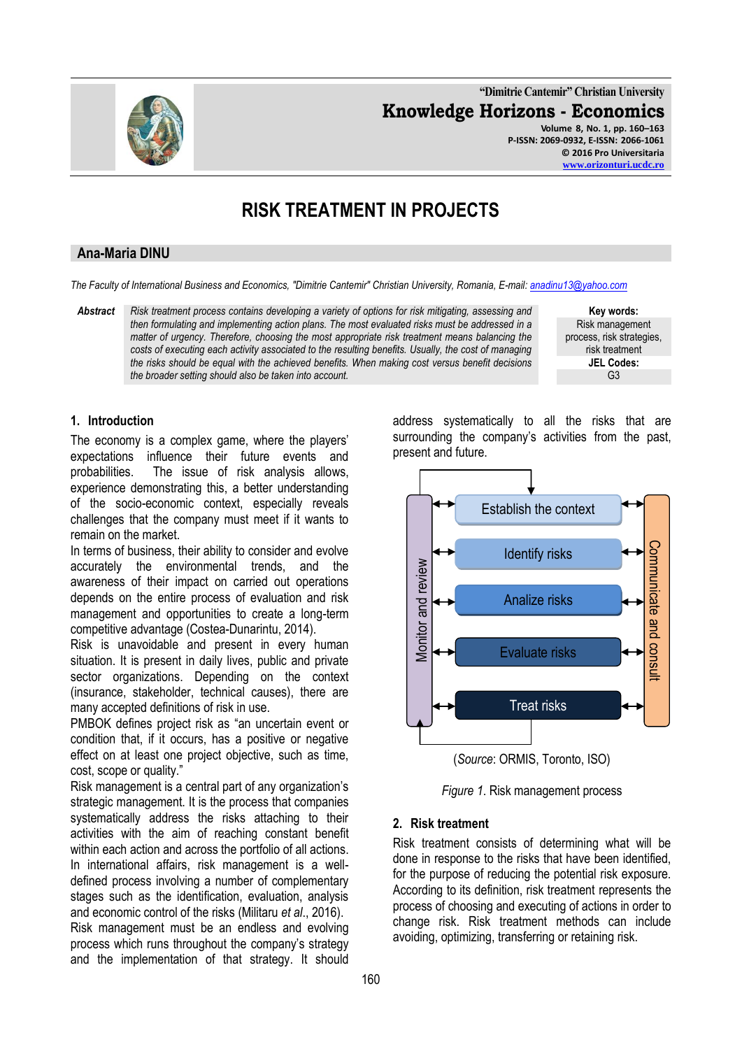

**"Dimitrie Cantemir" Christian University Knowledge Horizons - Economics Volume 8, No. 1, pp. 160–163 P-ISSN: 2069-0932, E-ISSN: 2066-1061**

**© 2016 Pro Universitaria**

#### **[www.orizonturi.ucdc.ro](http://www.orizonturi.ucdc.ro/)**

# **RISK TREATMENT IN PROJECTS**

## **Ana-Maria DINU**

*The Faculty of International Business and Economics, "Dimitrie Cantemir" Christian University, Romania, E-mail[: anadinu13@yahoo.com](mailto:anadinu13@yahoo.com)*

*Abstract Risk treatment process contains developing a variety of options for risk mitigating, assessing and then formulating and implementing action plans. The most evaluated risks must be addressed in a matter of urgency. Therefore, choosing the most appropriate risk treatment means balancing the costs of executing each activity associated to the resulting benefits. Usually, the cost of managing the risks should be equal with the achieved benefits. When making cost versus benefit decisions the broader setting should also be taken into account.*

**Key words:** Risk management process, risk strategies, risk treatment **JEL Codes:** G3

## **1. Introduction**

The economy is a complex game, where the players' expectations influence their future events and probabilities. The issue of risk analysis allows, experience demonstrating this, a better understanding of the socio-economic context, especially reveals challenges that the company must meet if it wants to remain on the market.

In terms of business, their ability to consider and evolve accurately the environmental trends, and the awareness of their impact on carried out operations depends on the entire process of evaluation and risk management and opportunities to create a long-term competitive advantage (Costea-Dunarintu, 2014).

Risk is unavoidable and present in every human situation. It is present in daily lives, public and private sector organizations. Depending on the context (insurance, stakeholder, technical causes), there are many accepted definitions of risk in use.

PMBOK defines project risk as "an uncertain event or condition that, if it occurs, has a positive or negative effect on at least one project objective, such as time, cost, scope or quality."

Risk management is a central part of any organization's strategic management. It is the process that companies systematically address the risks attaching to their activities with the aim of reaching constant benefit within each action and across the portfolio of all actions. In international affairs, risk management is a welldefined process involving a number of complementary stages such as the identification, evaluation, analysis and economic control of the risks (Militaru *et al*., 2016). Risk management must be an endless and evolving process which runs throughout the company's strategy and the implementation of that strategy. It should

address systematically to all the risks that are surrounding the company's activities from the past, present and future.



(*Source*: ORMIS, Toronto, ISO)

*Figure 1*. Risk management process

#### **2. Risk treatment**

Risk treatment consists of determining what will be done in response to the risks that have been identified, for the purpose of reducing the potential risk exposure. According to its definition, risk treatment represents the process of choosing and executing of actions in order to change risk. Risk treatment methods can include avoiding, optimizing, transferring or retaining risk.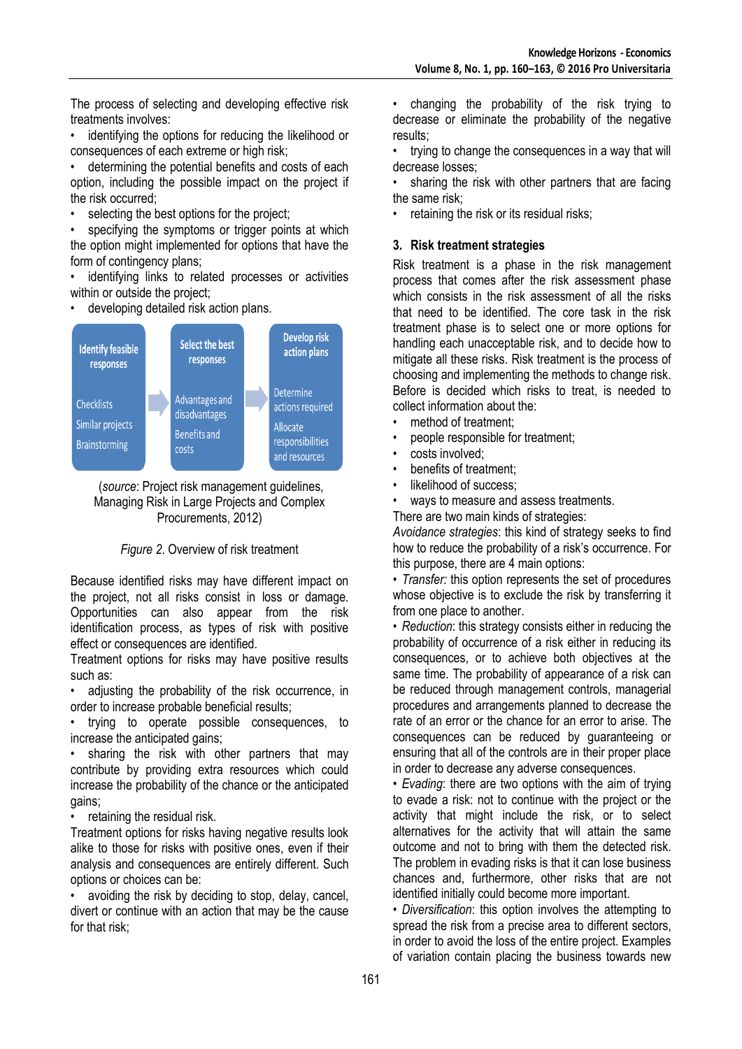The process of selecting and developing effective risk treatments involves:

identifying the options for reducing the likelihood or consequences of each extreme or high risk;

determining the potential benefits and costs of each option, including the possible impact on the project if the risk occurred;

selecting the best options for the project;

specifying the symptoms or trigger points at which the option might implemented for options that have the form of contingency plans;

identifying links to related processes or activities within or outside the project;

• developing detailed risk action plans.





# *Figure 2*. Overview of risk treatment

Because identified risks may have different impact on the project, not all risks consist in loss or damage. Opportunities can also appear from the risk identification process, as types of risk with positive effect or consequences are identified.

Treatment options for risks may have positive results such as:

• adjusting the probability of the risk occurrence, in order to increase probable beneficial results;

• trying to operate possible consequences, to increase the anticipated gains;

sharing the risk with other partners that may contribute by providing extra resources which could increase the probability of the chance or the anticipated gains;

retaining the residual risk.

Treatment options for risks having negative results look alike to those for risks with positive ones, even if their analysis and consequences are entirely different. Such options or choices can be:

avoiding the risk by deciding to stop, delay, cancel, divert or continue with an action that may be the cause for that risk;

• changing the probability of the risk trying to decrease or eliminate the probability of the negative results;

• trying to change the consequences in a way that will decrease losses;

sharing the risk with other partners that are facing the same risk;

retaining the risk or its residual risks;

## **3. Risk treatment strategies**

Risk treatment is a phase in the risk management process that comes after the risk assessment phase which consists in the risk assessment of all the risks that need to be identified. The core task in the risk treatment phase is to select one or more options for handling each unacceptable risk, and to decide how to mitigate all these risks. Risk treatment is the process of choosing and implementing the methods to change risk. Before is decided which risks to treat, is needed to collect information about the:

- method of treatment:
- people responsible for treatment;
- costs involved;
- benefits of treatment:
- likelihood of success:

ways to measure and assess treatments.

There are two main kinds of strategies:

*Avoidance strategies*: this kind of strategy seeks to find how to reduce the probability of a risk's occurrence. For this purpose, there are 4 main options:

• *Transfer:* this option represents the set of procedures whose objective is to exclude the risk by transferring it from one place to another.

• *Reduction*: this strategy consists either in reducing the probability of occurrence of a risk either in reducing its consequences, or to achieve both objectives at the same time. The probability of appearance of a risk can be reduced through management controls, managerial procedures and arrangements planned to decrease the rate of an error or the chance for an error to arise. The consequences can be reduced by guaranteeing or ensuring that all of the controls are in their proper place in order to decrease any adverse consequences.

• *Evading*: there are two options with the aim of trying to evade a risk: not to continue with the project or the activity that might include the risk, or to select alternatives for the activity that will attain the same outcome and not to bring with them the detected risk. The problem in evading risks is that it can lose business chances and, furthermore, other risks that are not identified initially could become more important.

• *Diversification*: this option involves the attempting to spread the risk from a precise area to different sectors, in order to avoid the loss of the entire project. Examples of variation contain placing the business towards new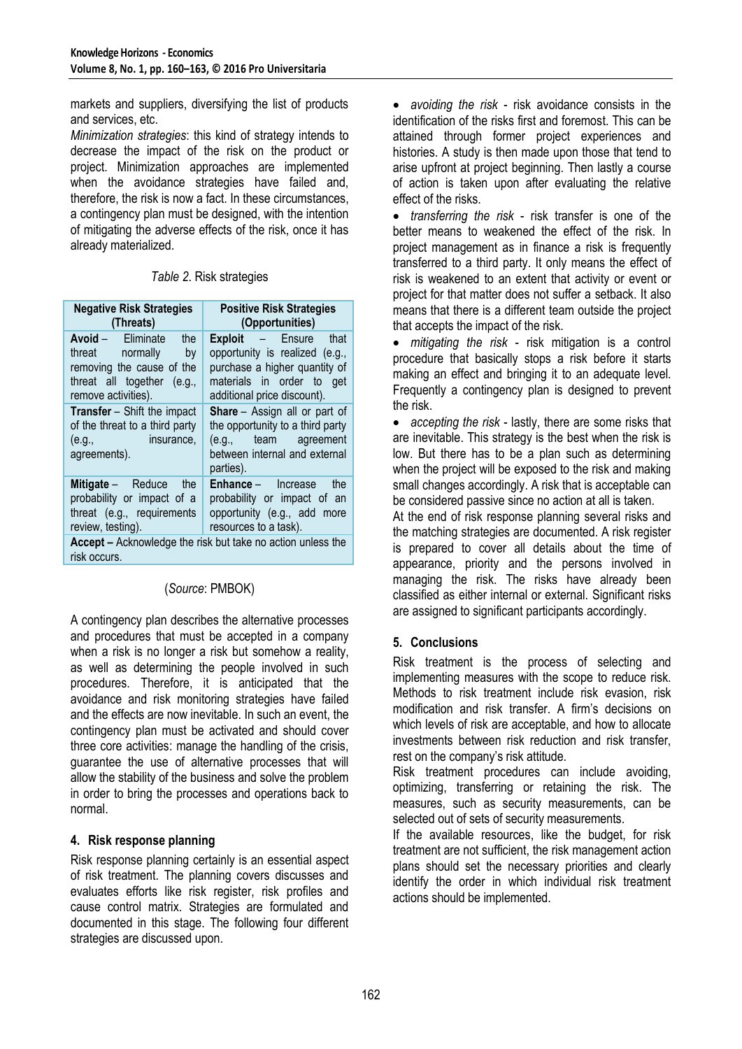markets and suppliers, diversifying the list of products and services, etc.

*Minimization strategies*: this kind of strategy intends to decrease the impact of the risk on the product or project. Minimization approaches are implemented when the avoidance strategies have failed and, therefore, the risk is now a fact. In these circumstances, a contingency plan must be designed, with the intention of mitigating the adverse effects of the risk, once it has already materialized.

*Table 2*. Risk strategies

| <b>Negative Risk Strategies</b><br>(Threats)                                                                                                  | <b>Positive Risk Strategies</b><br>(Opportunities)                                                                                                   |
|-----------------------------------------------------------------------------------------------------------------------------------------------|------------------------------------------------------------------------------------------------------------------------------------------------------|
| <b>Avoid</b> – Eliminate<br>the<br>threat normally<br>by by<br>removing the cause of the<br>threat all together (e.g.,<br>remove activities). | Exploit - Ensure that<br>opportunity is realized (e.g.,<br>purchase a higher quantity of<br>materials in order to get<br>additional price discount). |
| <b>Transfer</b> – Shift the impact<br>of the threat to a third party<br><b>Example 1</b> insurance,<br>(e.g.,<br>agreements).                 | <b>Share</b> – Assign all or part of<br>the opportunity to a third party<br>(e.g., team agreement<br>between internal and external<br>parties).      |
| Mitigate - Reduce the<br>probability or impact of a<br>threat (e.g., requirements<br>review, testing).                                        | <b>Enhance</b> – Increase<br>the<br>probability or impact of an<br>opportunity (e.g., add more<br>resources to a task).                              |
| Accept - Acknowledge the risk but take no action unless the<br>risk occurs.                                                                   |                                                                                                                                                      |

# (*Source*: PMBOK)

A contingency plan describes the alternative processes and procedures that must be accepted in a company when a risk is no longer a risk but somehow a reality, as well as determining the people involved in such procedures. Therefore, it is anticipated that the avoidance and risk monitoring strategies have failed and the effects are now inevitable. In such an event, the contingency plan must be activated and should cover three core activities: manage the handling of the crisis, guarantee the use of alternative processes that will allow the stability of the business and solve the problem in order to bring the processes and operations back to normal.

# **4. Risk response planning**

Risk response planning certainly is an essential aspect of risk treatment. The planning covers discusses and evaluates efforts like risk register, risk profiles and cause control matrix. Strategies are formulated and documented in this stage. The following four different strategies are discussed upon.

 *avoiding the risk* - risk avoidance consists in the identification of the risks first and foremost. This can be attained through former project experiences and histories. A study is then made upon those that tend to arise upfront at project beginning. Then lastly a course of action is taken upon after evaluating the relative effect of the risks.

 *transferring the risk* - risk transfer is one of the better means to weakened the effect of the risk. In project management as in finance a risk is frequently transferred to a third party. It only means the effect of risk is weakened to an extent that activity or event or project for that matter does not suffer a setback. It also means that there is a different team outside the project that accepts the impact of the risk.

 *mitigating the risk* - risk mitigation is a control procedure that basically stops a risk before it starts making an effect and bringing it to an adequate level. Frequently a contingency plan is designed to prevent the risk.

 *accepting the risk* - lastly, there are some risks that are inevitable. This strategy is the best when the risk is low. But there has to be a plan such as determining when the project will be exposed to the risk and making small changes accordingly. A risk that is acceptable can be considered passive since no action at all is taken.

At the end of risk response planning several risks and the matching strategies are documented. A risk register is prepared to cover all details about the time of appearance, priority and the persons involved in managing the risk. The risks have already been classified as either internal or external. Significant risks are assigned to significant participants accordingly.

# **5. Conclusions**

Risk treatment is the process of selecting and implementing measures with the scope to reduce risk. Methods to risk treatment include risk evasion, risk modification and risk transfer. A firm's decisions on which levels of risk are acceptable, and how to allocate investments between risk reduction and risk transfer, rest on the company's risk attitude.

Risk treatment procedures can include avoiding, optimizing, transferring or retaining the risk. The measures, such as security measurements, can be selected out of sets of security measurements.

If the available resources, like the budget, for risk treatment are not sufficient, the risk management action plans should set the necessary priorities and clearly identify the order in which individual risk treatment actions should be implemented.